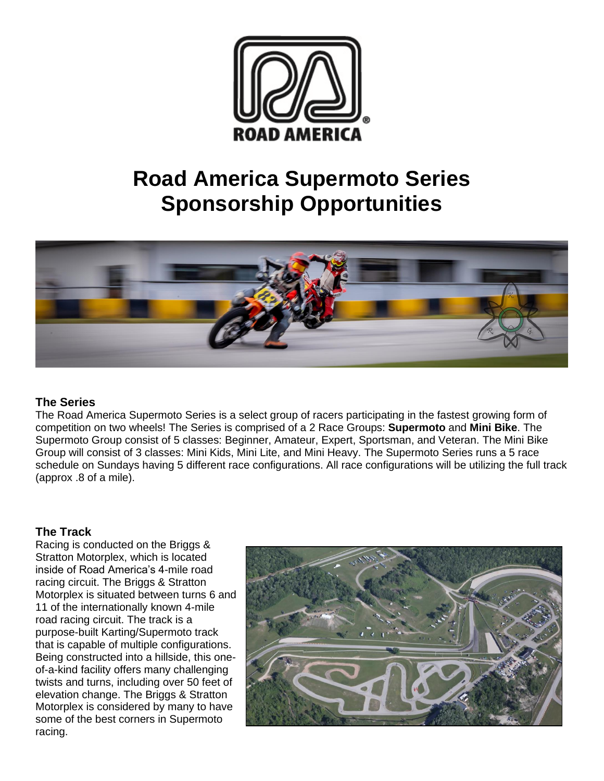

# **Road America Supermoto Series Sponsorship Opportunities**



#### **The Series**

The Road America Supermoto Series is a select group of racers participating in the fastest growing form of competition on two wheels! The Series is comprised of a 2 Race Groups: **Supermoto** and **Mini Bike**. The Supermoto Group consist of 5 classes: Beginner, Amateur, Expert, Sportsman, and Veteran. The Mini Bike Group will consist of 3 classes: Mini Kids, Mini Lite, and Mini Heavy. The Supermoto Series runs a 5 race schedule on Sundays having 5 different race configurations. All race configurations will be utilizing the full track (approx .8 of a mile).

### **The Track**

Racing is conducted on the Briggs & Stratton Motorplex, which is located inside of Road America's 4-mile road racing circuit. The Briggs & Stratton Motorplex is situated between turns 6 and 11 of the internationally known 4-mile road racing circuit. The track is a purpose-built Karting/Supermoto track that is capable of multiple configurations. Being constructed into a hillside, this oneof-a-kind facility offers many challenging twists and turns, including over 50 feet of elevation change. The Briggs & Stratton Motorplex is considered by many to have some of the best corners in Supermoto racing.

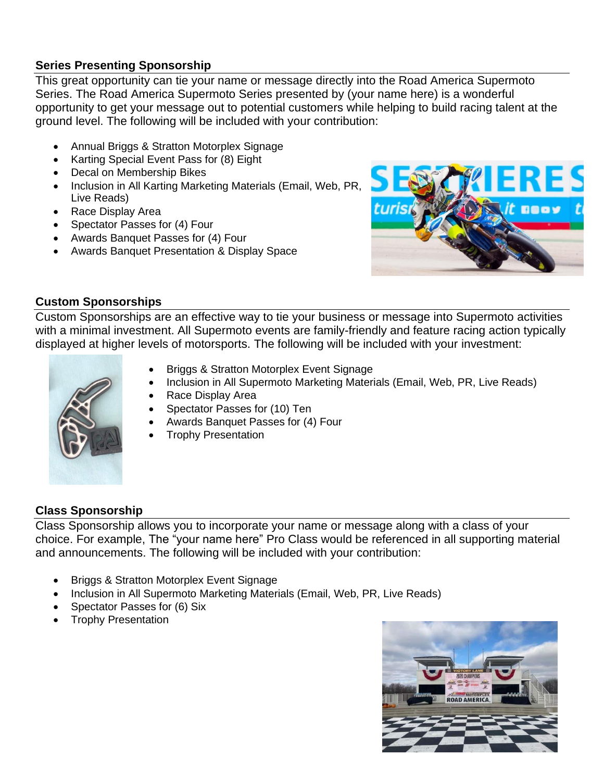### **Series Presenting Sponsorship**

This great opportunity can tie your name or message directly into the Road America Supermoto Series. The Road America Supermoto Series presented by (your name here) is a wonderful opportunity to get your message out to potential customers while helping to build racing talent at the ground level. The following will be included with your contribution:

- Annual Briggs & Stratton Motorplex Signage
- Karting Special Event Pass for (8) Eight
- Decal on Membership Bikes
- Inclusion in All Karting Marketing Materials (Email, Web, PR, Live Reads)
- Race Display Area
- Spectator Passes for (4) Four
- Awards Banquet Passes for (4) Four
- Awards Banquet Presentation & Display Space



### **Custom Sponsorships**

Custom Sponsorships are an effective way to tie your business or message into Supermoto activities with a minimal investment. All Supermoto events are family-friendly and feature racing action typically displayed at higher levels of motorsports. The following will be included with your investment:



- Briggs & Stratton Motorplex Event Signage
- Inclusion in All Supermoto Marketing Materials (Email, Web, PR, Live Reads)
- Race Display Area
- Spectator Passes for (10) Ten
- Awards Banquet Passes for (4) Four
- Trophy Presentation

### **Class Sponsorship**

Class Sponsorship allows you to incorporate your name or message along with a class of your choice. For example, The "your name here" Pro Class would be referenced in all supporting material and announcements. The following will be included with your contribution:

- Briggs & Stratton Motorplex Event Signage
- Inclusion in All Supermoto Marketing Materials (Email, Web, PR, Live Reads)
- Spectator Passes for (6) Six
- Trophy Presentation

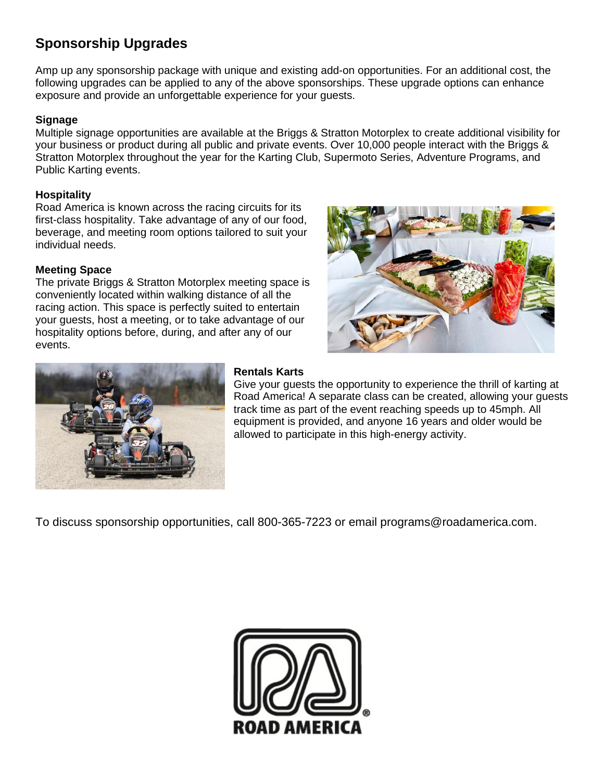### **Sponsorship Upgrades**

Amp up any sponsorship package with unique and existing add-on opportunities. For an additional cost, the following upgrades can be applied to any of the above sponsorships. These upgrade options can enhance exposure and provide an unforgettable experience for your guests.

### **Signage**

Multiple signage opportunities are available at the Briggs & Stratton Motorplex to create additional visibility for your business or product during all public and private events. Over 10,000 people interact with the Briggs & Stratton Motorplex throughout the year for the Karting Club, Supermoto Series, Adventure Programs, and Public Karting events.

### **Hospitality**

Road America is known across the racing circuits for its first-class hospitality. Take advantage of any of our food, beverage, and meeting room options tailored to suit your individual needs.

### **Meeting Space**

The private Briggs & Stratton Motorplex meeting space is conveniently located within walking distance of all the racing action. This space is perfectly suited to entertain your guests, host a meeting, or to take advantage of our hospitality options before, during, and after any of our events.





### **Rentals Karts**

Give your guests the opportunity to experience the thrill of karting at Road America! A separate class can be created, allowing your guests track time as part of the event reaching speeds up to 45mph. All equipment is provided, and anyone 16 years and older would be allowed to participate in this high-energy activity.

To discuss sponsorship opportunities, call 800-365-7223 or email programs@roadamerica.com.